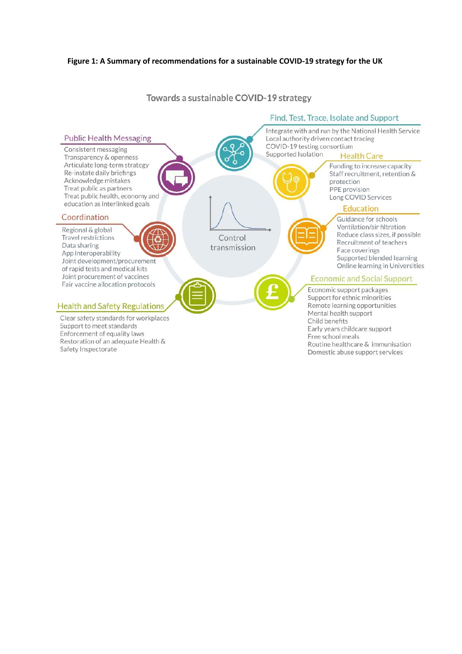

Towards a sustainable COVID-19 strategy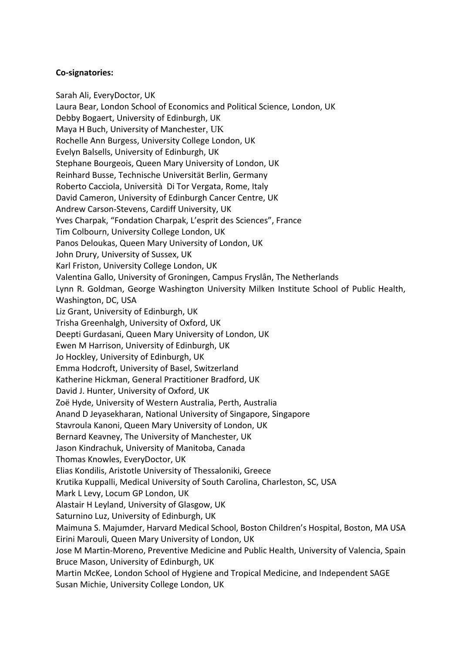## **Co-signatories:**

Sarah Ali, EveryDoctor, UK Laura Bear, London School of Economics and Political Science, London, UK Debby Bogaert, University of Edinburgh, UK Maya H Buch, University of Manchester, UK Rochelle Ann Burgess, University College London, UK Evelyn Balsells, University of Edinburgh, UK Stephane Bourgeois, Queen Mary University of London, UK Reinhard Busse, Technische Universität Berlin, Germany Roberto Cacciola, Università Di Tor Vergata, Rome, Italy David Cameron, University of Edinburgh Cancer Centre, UK Andrew Carson-Stevens, Cardiff University, UK Yves Charpak, "Fondation Charpak, L'esprit des Sciences", France Tim Colbourn, University College London, UK Panos Deloukas, Queen Mary University of London, UK John Drury, University of Sussex, UK Karl Friston, University College London, UK Valentina Gallo, University of Groningen, Campus Fryslân, The Netherlands Lynn R. Goldman, George Washington University Milken Institute School of Public Health, Washington, DC, USA Liz Grant, University of Edinburgh, UK Trisha Greenhalgh, University of Oxford, UK Deepti Gurdasani, Queen Mary University of London, UK Ewen M Harrison, University of Edinburgh, UK Jo Hockley, University of Edinburgh, UK Emma Hodcroft, University of Basel, Switzerland Katherine Hickman, General Practitioner Bradford, UK David J. Hunter, University of Oxford, UK Zoë Hyde, University of Western Australia, Perth, Australia Anand D Jeyasekharan, National University of Singapore, Singapore Stavroula Kanoni, Queen Mary University of London, UK Bernard Keavney, The University of Manchester, UK Jason Kindrachuk, University of Manitoba, Canada Thomas Knowles, EveryDoctor, UK Elias Kondilis, Aristotle University of Thessaloniki, Greece Krutika Kuppalli, Medical University of South Carolina, Charleston, SC, USA Mark L Levy, Locum GP London, UK Alastair H Leyland, University of Glasgow, UK Saturnino Luz, University of Edinburgh, UK Maimuna S. Majumder, Harvard Medical School, Boston Children's Hospital, Boston, MA USA Eirini Marouli, Queen Mary University of London, UK Jose M Martin-Moreno, Preventive Medicine and Public Health, University of Valencia, Spain Bruce Mason, University of Edinburgh, UK Martin McKee, London School of Hygiene and Tropical Medicine, and Independent SAGE Susan Michie, University College London, UK